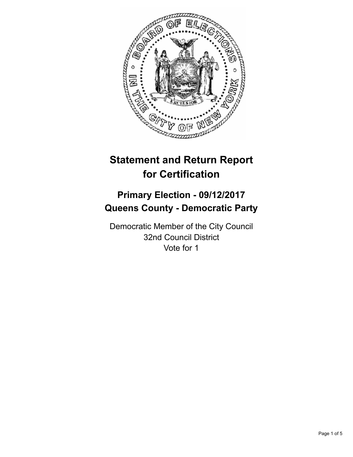

# **Statement and Return Report for Certification**

# **Primary Election - 09/12/2017 Queens County - Democratic Party**

Democratic Member of the City Council 32nd Council District Vote for 1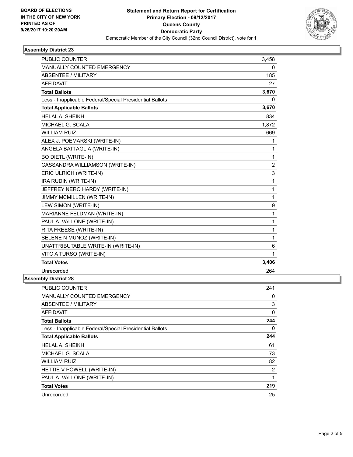

## **Assembly District 23**

| <b>PUBLIC COUNTER</b>                                    | 3,458        |
|----------------------------------------------------------|--------------|
| MANUALLY COUNTED EMERGENCY                               | $\mathbf{0}$ |
| <b>ABSENTEE / MILITARY</b>                               | 185          |
| <b>AFFIDAVIT</b>                                         | 27           |
| <b>Total Ballots</b>                                     | 3,670        |
| Less - Inapplicable Federal/Special Presidential Ballots | 0            |
| <b>Total Applicable Ballots</b>                          | 3,670        |
| <b>HELAL A. SHEIKH</b>                                   | 834          |
| MICHAEL G. SCALA                                         | 1,872        |
| <b>WILLIAM RUIZ</b>                                      | 669          |
| ALEX J. POEMARSKI (WRITE-IN)                             | 1            |
| ANGELA BATTAGLIA (WRITE-IN)                              | 1            |
| <b>BO DIETL (WRITE-IN)</b>                               | 1            |
| CASSANDRA WILLIAMSON (WRITE-IN)                          | 2            |
| ERIC ULRICH (WRITE-IN)                                   | 3            |
| IRA RUDIN (WRITE-IN)                                     | 1            |
| JEFFREY NERO HARDY (WRITE-IN)                            | 1            |
| JIMMY MCMILLEN (WRITE-IN)                                | 1            |
| LEW SIMON (WRITE-IN)                                     | 9            |
| MARIANNE FELDMAN (WRITE-IN)                              | 1            |
| PAUL A. VALLONE (WRITE-IN)                               | 1            |
| RITA FREESE (WRITE-IN)                                   | 1            |
| SELENE N MUNOZ (WRITE-IN)                                | $\mathbf{1}$ |
| UNATTRIBUTABLE WRITE-IN (WRITE-IN)                       | 6            |
| VITO A TURSO (WRITE-IN)                                  | 1            |
| <b>Total Votes</b>                                       | 3,406        |
| Unrecorded                                               | 264          |

#### **Assembly District 28**

| <b>PUBLIC COUNTER</b>                                    | 241 |
|----------------------------------------------------------|-----|
| <b>MANUALLY COUNTED EMERGENCY</b>                        | 0   |
| ABSENTEE / MILITARY                                      | 3   |
| <b>AFFIDAVIT</b>                                         | 0   |
| <b>Total Ballots</b>                                     | 244 |
| Less - Inapplicable Federal/Special Presidential Ballots | 0   |
| <b>Total Applicable Ballots</b>                          | 244 |
| HELAL A. SHEIKH                                          | 61  |
| MICHAEL G. SCALA                                         | 73  |
| <b>WILLIAM RUIZ</b>                                      | 82  |
| HETTIE V POWELL (WRITE-IN)                               | 2   |
| PAUL A. VALLONE (WRITE-IN)                               | 1   |
| <b>Total Votes</b>                                       | 219 |
| Unrecorded                                               | 25  |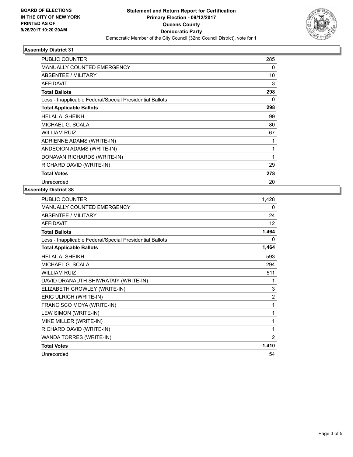

## **Assembly District 31**

| <b>PUBLIC COUNTER</b>                                    | 285 |
|----------------------------------------------------------|-----|
| <b>MANUALLY COUNTED EMERGENCY</b>                        | 0   |
| ABSENTEE / MILITARY                                      | 10  |
| <b>AFFIDAVIT</b>                                         | 3   |
| <b>Total Ballots</b>                                     | 298 |
| Less - Inapplicable Federal/Special Presidential Ballots | 0   |
| <b>Total Applicable Ballots</b>                          | 298 |
| <b>HELAL A. SHEIKH</b>                                   | 99  |
| MICHAEL G. SCALA                                         | 80  |
| <b>WILLIAM RUIZ</b>                                      | 67  |
| ADRIENNE ADAMS (WRITE-IN)                                | 1   |
| ANDEOION ADAMS (WRITE-IN)                                | 1   |
| DONAVAN RICHARDS (WRITE-IN)                              | 1   |
| RICHARD DAVID (WRITE-IN)                                 | 29  |
| <b>Total Votes</b>                                       | 278 |
| Unrecorded                                               | 20  |

#### **Assembly District 38**

| <b>PUBLIC COUNTER</b>                                    | 1,428 |
|----------------------------------------------------------|-------|
| <b>MANUALLY COUNTED EMERGENCY</b>                        | 0     |
| <b>ABSENTEE / MILITARY</b>                               | 24    |
| <b>AFFIDAVIT</b>                                         | 12    |
| <b>Total Ballots</b>                                     | 1,464 |
| Less - Inapplicable Federal/Special Presidential Ballots | 0     |
| <b>Total Applicable Ballots</b>                          | 1,464 |
| <b>HELAL A. SHEIKH</b>                                   | 593   |
| MICHAEL G. SCALA                                         | 294   |
| <b>WILLIAM RUIZ</b>                                      | 511   |
| DAVID DRANAUTH SHIWRATAIY (WRITE-IN)                     | 1     |
| ELIZABETH CROWLEY (WRITE-IN)                             | 3     |
| ERIC ULRICH (WRITE-IN)                                   | 2     |
| FRANCISCO MOYA (WRITE-IN)                                | 1     |
| LEW SIMON (WRITE-IN)                                     | 1     |
| MIKE MILLER (WRITE-IN)                                   | 1     |
| RICHARD DAVID (WRITE-IN)                                 | 1     |
| WANDA TORRES (WRITE-IN)                                  | 2     |
| <b>Total Votes</b>                                       | 1,410 |
| Unrecorded                                               | 54    |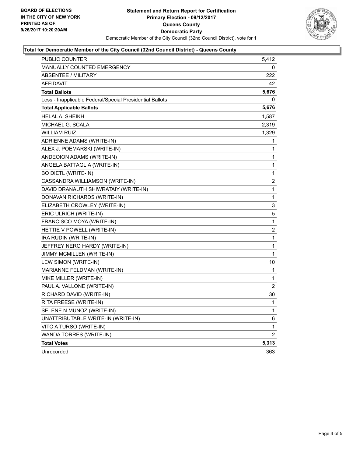

#### **Total for Democratic Member of the City Council (32nd Council District) - Queens County**

| PUBLIC COUNTER                                           | 5,412          |
|----------------------------------------------------------|----------------|
| <b>MANUALLY COUNTED EMERGENCY</b>                        | 0              |
| <b>ABSENTEE / MILITARY</b>                               | 222            |
| <b>AFFIDAVIT</b>                                         | 42             |
| <b>Total Ballots</b>                                     | 5,676          |
| Less - Inapplicable Federal/Special Presidential Ballots | 0              |
| <b>Total Applicable Ballots</b>                          | 5,676          |
| <b>HELAL A. SHEIKH</b>                                   | 1,587          |
| MICHAEL G. SCALA                                         | 2,319          |
| <b>WILLIAM RUIZ</b>                                      | 1,329          |
| ADRIENNE ADAMS (WRITE-IN)                                | 1              |
| ALEX J. POEMARSKI (WRITE-IN)                             | 1              |
| ANDEOION ADAMS (WRITE-IN)                                | 1              |
| ANGELA BATTAGLIA (WRITE-IN)                              | 1              |
| <b>BO DIETL (WRITE-IN)</b>                               | 1              |
| CASSANDRA WILLIAMSON (WRITE-IN)                          | 2              |
| DAVID DRANAUTH SHIWRATAIY (WRITE-IN)                     | $\mathbf{1}$   |
| DONAVAN RICHARDS (WRITE-IN)                              | $\mathbf{1}$   |
| ELIZABETH CROWLEY (WRITE-IN)                             | 3              |
| ERIC ULRICH (WRITE-IN)                                   | 5              |
| FRANCISCO MOYA (WRITE-IN)                                | 1              |
| HETTIE V POWELL (WRITE-IN)                               | 2              |
| IRA RUDIN (WRITE-IN)                                     | 1              |
| JEFFREY NERO HARDY (WRITE-IN)                            | 1              |
| JIMMY MCMILLEN (WRITE-IN)                                | $\mathbf{1}$   |
| LEW SIMON (WRITE-IN)                                     | 10             |
| MARIANNE FELDMAN (WRITE-IN)                              | 1              |
| MIKE MILLER (WRITE-IN)                                   | 1              |
| PAUL A. VALLONE (WRITE-IN)                               | $\overline{2}$ |
| RICHARD DAVID (WRITE-IN)                                 | 30             |
| RITA FREESE (WRITE-IN)                                   | 1              |
| SELENE N MUNOZ (WRITE-IN)                                | 1              |
| UNATTRIBUTABLE WRITE-IN (WRITE-IN)                       | 6              |
| VITO A TURSO (WRITE-IN)                                  | 1              |
| WANDA TORRES (WRITE-IN)                                  | 2              |
| <b>Total Votes</b>                                       | 5,313          |
| Unrecorded                                               | 363            |